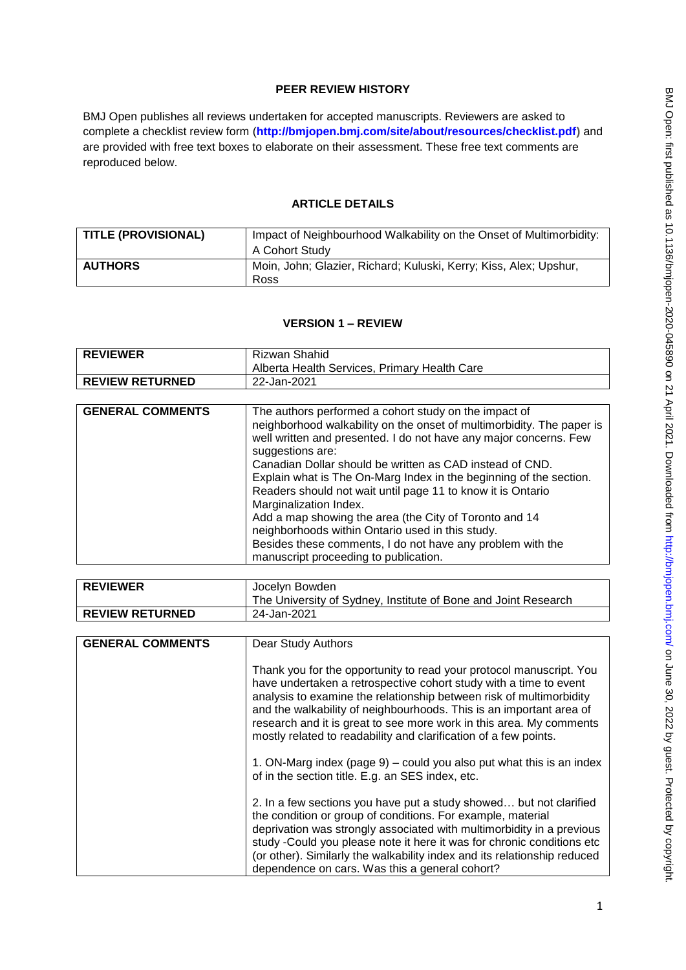# **PEER REVIEW HISTORY**

BMJ Open publishes all reviews undertaken for accepted manuscripts. Reviewers are asked to complete a checklist review form (**[http://bmjopen.bmj.com/site/about/resources/checklist.pdf\)](http://bmjopen.bmj.com/site/about/resources/checklist.pdf)** and are provided with free text boxes to elaborate on their assessment. These free text comments are reproduced below.

## **ARTICLE DETAILS**

| <b>TITLE (PROVISIONAL)</b> | Impact of Neighbourhood Walkability on the Onset of Multimorbidity:<br>A Cohort Study |
|----------------------------|---------------------------------------------------------------------------------------|
| <b>AUTHORS</b>             | Moin, John; Glazier, Richard; Kuluski, Kerry; Kiss, Alex; Upshur,<br>Ross             |

#### **VERSION 1 – REVIEW**

| <b>REVIEWER</b>        | Rizwan Shahid<br>Alberta Health Services, Primary Health Care |
|------------------------|---------------------------------------------------------------|
| <b>REVIEW RETURNED</b> | 22-Jan-2021                                                   |

| <b>REVIEWER</b>          | Jocelyn Bowden<br>The University of Sydney, Institute of Bone and Joint Research |
|--------------------------|----------------------------------------------------------------------------------|
| <b>I REVIEW RETURNED</b> | 24-Jan-2021                                                                      |

| <b>GENERAL COMMENTS</b> | <b>Dear Study Authors</b>                                                                                                                                                                                                                                                                                                                                                                                                         |
|-------------------------|-----------------------------------------------------------------------------------------------------------------------------------------------------------------------------------------------------------------------------------------------------------------------------------------------------------------------------------------------------------------------------------------------------------------------------------|
|                         | Thank you for the opportunity to read your protocol manuscript. You<br>have undertaken a retrospective cohort study with a time to event<br>analysis to examine the relationship between risk of multimorbidity<br>and the walkability of neighbourhoods. This is an important area of<br>research and it is great to see more work in this area. My comments<br>mostly related to readability and clarification of a few points. |
|                         | 1. ON-Marg index (page 9) – could you also put what this is an index<br>of in the section title. E.g. an SES index, etc.                                                                                                                                                                                                                                                                                                          |
|                         | 2. In a few sections you have put a study showed but not clarified<br>the condition or group of conditions. For example, material<br>deprivation was strongly associated with multimorbidity in a previous<br>study -Could you please note it here it was for chronic conditions etc<br>(or other). Similarly the walkability index and its relationship reduced<br>dependence on cars. Was this a general cohort?                |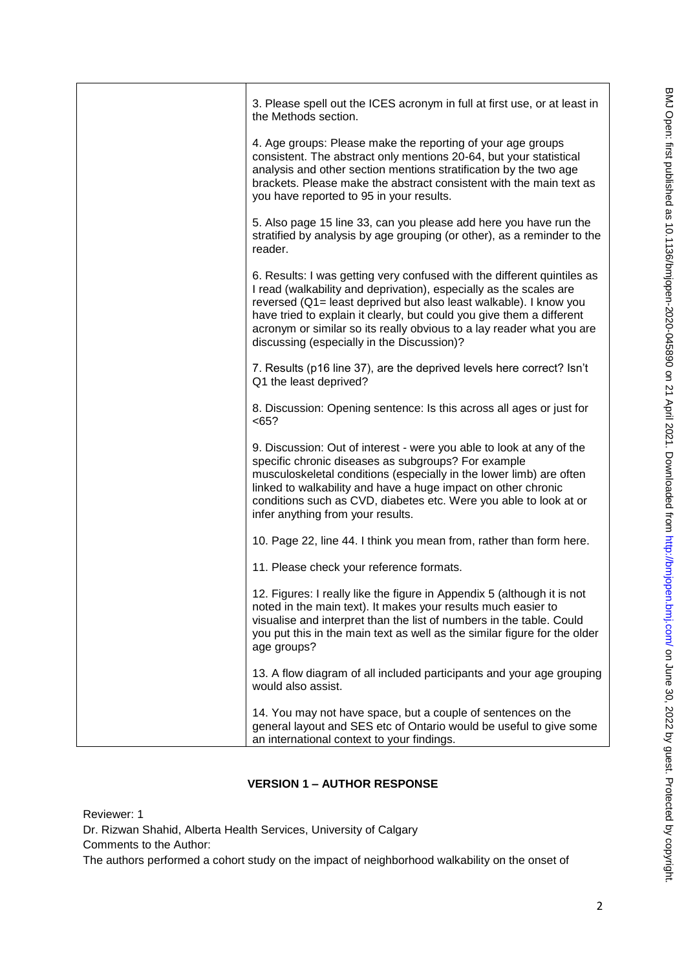| 3. Please spell out the ICES acronym in full at first use, or at least in<br>the Methods section.                                                                                                                                                                                                                                                                                                                  |
|--------------------------------------------------------------------------------------------------------------------------------------------------------------------------------------------------------------------------------------------------------------------------------------------------------------------------------------------------------------------------------------------------------------------|
| 4. Age groups: Please make the reporting of your age groups<br>consistent. The abstract only mentions 20-64, but your statistical<br>analysis and other section mentions stratification by the two age<br>brackets. Please make the abstract consistent with the main text as<br>you have reported to 95 in your results.                                                                                          |
| 5. Also page 15 line 33, can you please add here you have run the<br>stratified by analysis by age grouping (or other), as a reminder to the<br>reader.                                                                                                                                                                                                                                                            |
| 6. Results: I was getting very confused with the different quintiles as<br>I read (walkability and deprivation), especially as the scales are<br>reversed (Q1= least deprived but also least walkable). I know you<br>have tried to explain it clearly, but could you give them a different<br>acronym or similar so its really obvious to a lay reader what you are<br>discussing (especially in the Discussion)? |
| 7. Results (p16 line 37), are the deprived levels here correct? Isn't<br>Q1 the least deprived?                                                                                                                                                                                                                                                                                                                    |
| 8. Discussion: Opening sentence: Is this across all ages or just for<br>< 65?                                                                                                                                                                                                                                                                                                                                      |
| 9. Discussion: Out of interest - were you able to look at any of the<br>specific chronic diseases as subgroups? For example<br>musculoskeletal conditions (especially in the lower limb) are often<br>linked to walkability and have a huge impact on other chronic<br>conditions such as CVD, diabetes etc. Were you able to look at or<br>infer anything from your results.                                      |
| 10. Page 22, line 44. I think you mean from, rather than form here.                                                                                                                                                                                                                                                                                                                                                |
| 11. Please check your reference formats.                                                                                                                                                                                                                                                                                                                                                                           |
| 12. Figures: I really like the figure in Appendix 5 (although it is not<br>noted in the main text). It makes your results much easier to<br>visualise and interpret than the list of numbers in the table. Could<br>you put this in the main text as well as the similar figure for the older<br>age groups?                                                                                                       |
| 13. A flow diagram of all included participants and your age grouping<br>would also assist.                                                                                                                                                                                                                                                                                                                        |
| 14. You may not have space, but a couple of sentences on the<br>general layout and SES etc of Ontario would be useful to give some<br>an international context to your findings.                                                                                                                                                                                                                                   |

# **VERSION 1 – AUTHOR RESPONSE**

Reviewer: 1

Dr. Rizwan Shahid, Alberta Health Services, University of Calgary

Comments to the Author:

The authors performed a cohort study on the impact of neighborhood walkability on the onset of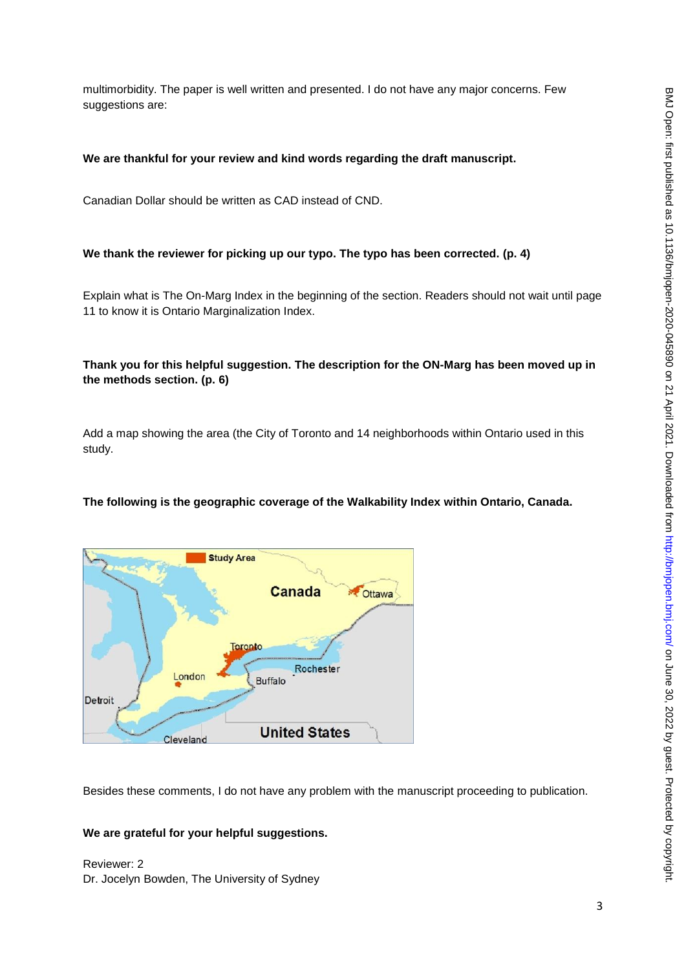multimorbidity. The paper is well written and presented. I do not have any major concerns. Few suggestions are:

#### **We are thankful for your review and kind words regarding the draft manuscript.**

Canadian Dollar should be written as CAD instead of CND.

#### **We thank the reviewer for picking up our typo. The typo has been corrected. (p. 4)**

Explain what is The On-Marg Index in the beginning of the section. Readers should not wait until page 11 to know it is Ontario Marginalization Index.

## **Thank you for this helpful suggestion. The description for the ON-Marg has been moved up in the methods section. (p. 6)**

Add a map showing the area (the City of Toronto and 14 neighborhoods within Ontario used in this study.

#### **The following is the geographic coverage of the Walkability Index within Ontario, Canada.**



Besides these comments, I do not have any problem with the manuscript proceeding to publication.

#### **We are grateful for your helpful suggestions.**

Reviewer: 2 Dr. Jocelyn Bowden, The University of Sydney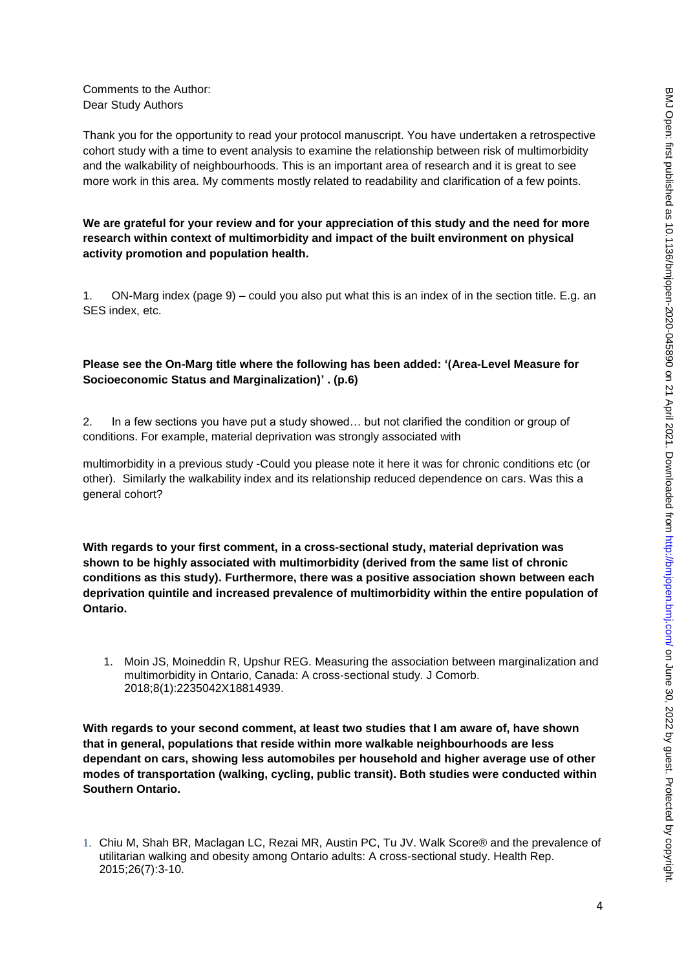Comments to the Author: Dear Study Authors

Thank you for the opportunity to read your protocol manuscript. You have undertaken a retrospective cohort study with a time to event analysis to examine the relationship between risk of multimorbidity and the walkability of neighbourhoods. This is an important area of research and it is great to see more work in this area. My comments mostly related to readability and clarification of a few points.

**We are grateful for your review and for your appreciation of this study and the need for more research within context of multimorbidity and impact of the built environment on physical activity promotion and population health.**

1. ON-Marg index (page 9) – could you also put what this is an index of in the section title. E.g. an SES index, etc.

## **Please see the On-Marg title where the following has been added: '(Area-Level Measure for Socioeconomic Status and Marginalization)' . (p.6)**

2. In a few sections you have put a study showed… but not clarified the condition or group of conditions. For example, material deprivation was strongly associated with

multimorbidity in a previous study -Could you please note it here it was for chronic conditions etc (or other). Similarly the walkability index and its relationship reduced dependence on cars. Was this a general cohort?

**With regards to your first comment, in a cross-sectional study, material deprivation was shown to be highly associated with multimorbidity (derived from the same list of chronic conditions as this study). Furthermore, there was a positive association shown between each deprivation quintile and increased prevalence of multimorbidity within the entire population of Ontario.** 

1. Moin JS, Moineddin R, Upshur REG. Measuring the association between marginalization and multimorbidity in Ontario, Canada: A cross-sectional study. J Comorb. 2018;8(1):2235042X18814939.

**With regards to your second comment, at least two studies that I am aware of, have shown that in general, populations that reside within more walkable neighbourhoods are less dependant on cars, showing less automobiles per household and higher average use of other modes of transportation (walking, cycling, public transit). Both studies were conducted within Southern Ontario.** 

<sup>1.</sup> Chiu M, Shah BR, Maclagan LC, Rezai MR, Austin PC, Tu JV. Walk Score® and the prevalence of utilitarian walking and obesity among Ontario adults: A cross-sectional study. Health Rep. 2015;26(7):3-10.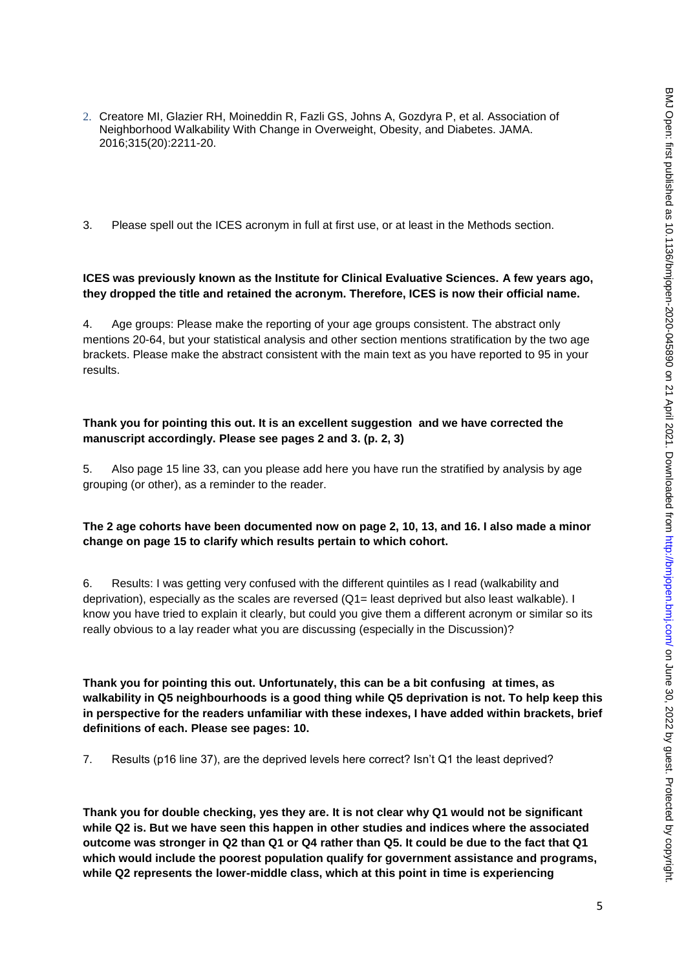- 2. Creatore MI, Glazier RH, Moineddin R, Fazli GS, Johns A, Gozdyra P, et al. Association of Neighborhood Walkability With Change in Overweight, Obesity, and Diabetes. JAMA. 2016;315(20):2211-20.
- 3. Please spell out the ICES acronym in full at first use, or at least in the Methods section.

#### **ICES was previously known as the Institute for Clinical Evaluative Sciences. A few years ago, they dropped the title and retained the acronym. Therefore, ICES is now their official name.**

4. Age groups: Please make the reporting of your age groups consistent. The abstract only mentions 20-64, but your statistical analysis and other section mentions stratification by the two age brackets. Please make the abstract consistent with the main text as you have reported to 95 in your results.

#### **Thank you for pointing this out. It is an excellent suggestion and we have corrected the manuscript accordingly. Please see pages 2 and 3. (p. 2, 3)**

5. Also page 15 line 33, can you please add here you have run the stratified by analysis by age grouping (or other), as a reminder to the reader.

## **The 2 age cohorts have been documented now on page 2, 10, 13, and 16. I also made a minor change on page 15 to clarify which results pertain to which cohort.**

6. Results: I was getting very confused with the different quintiles as I read (walkability and deprivation), especially as the scales are reversed (Q1= least deprived but also least walkable). I know you have tried to explain it clearly, but could you give them a different acronym or similar so its really obvious to a lay reader what you are discussing (especially in the Discussion)?

**Thank you for pointing this out. Unfortunately, this can be a bit confusing at times, as walkability in Q5 neighbourhoods is a good thing while Q5 deprivation is not. To help keep this in perspective for the readers unfamiliar with these indexes, I have added within brackets, brief definitions of each. Please see pages: 10.** 

7. Results (p16 line 37), are the deprived levels here correct? Isn't Q1 the least deprived?

**Thank you for double checking, yes they are. It is not clear why Q1 would not be significant while Q2 is. But we have seen this happen in other studies and indices where the associated outcome was stronger in Q2 than Q1 or Q4 rather than Q5. It could be due to the fact that Q1 which would include the poorest population qualify for government assistance and programs, while Q2 represents the lower-middle class, which at this point in time is experiencing**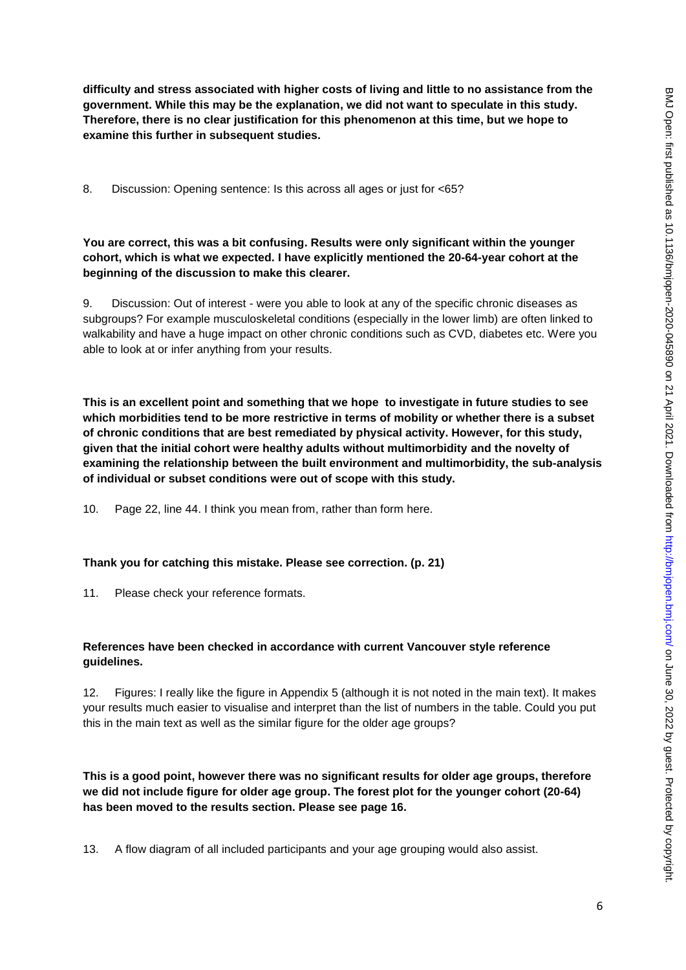**difficulty and stress associated with higher costs of living and little to no assistance from the government. While this may be the explanation, we did not want to speculate in this study. Therefore, there is no clear justification for this phenomenon at this time, but we hope to examine this further in subsequent studies.**

8. Discussion: Opening sentence: Is this across all ages or just for <65?

## **You are correct, this was a bit confusing. Results were only significant within the younger cohort, which is what we expected. I have explicitly mentioned the 20-64-year cohort at the beginning of the discussion to make this clearer.**

9. Discussion: Out of interest - were you able to look at any of the specific chronic diseases as subgroups? For example musculoskeletal conditions (especially in the lower limb) are often linked to walkability and have a huge impact on other chronic conditions such as CVD, diabetes etc. Were you able to look at or infer anything from your results.

**This is an excellent point and something that we hope to investigate in future studies to see which morbidities tend to be more restrictive in terms of mobility or whether there is a subset of chronic conditions that are best remediated by physical activity. However, for this study, given that the initial cohort were healthy adults without multimorbidity and the novelty of examining the relationship between the built environment and multimorbidity, the sub-analysis of individual or subset conditions were out of scope with this study.** 

10. Page 22, line 44. I think you mean from, rather than form here.

#### **Thank you for catching this mistake. Please see correction. (p. 21)**

11. Please check your reference formats.

#### **References have been checked in accordance with current Vancouver style reference guidelines.**

12. Figures: I really like the figure in Appendix 5 (although it is not noted in the main text). It makes your results much easier to visualise and interpret than the list of numbers in the table. Could you put this in the main text as well as the similar figure for the older age groups?

**This is a good point, however there was no significant results for older age groups, therefore we did not include figure for older age group. The forest plot for the younger cohort (20-64) has been moved to the results section. Please see page 16.** 

13. A flow diagram of all included participants and your age grouping would also assist.